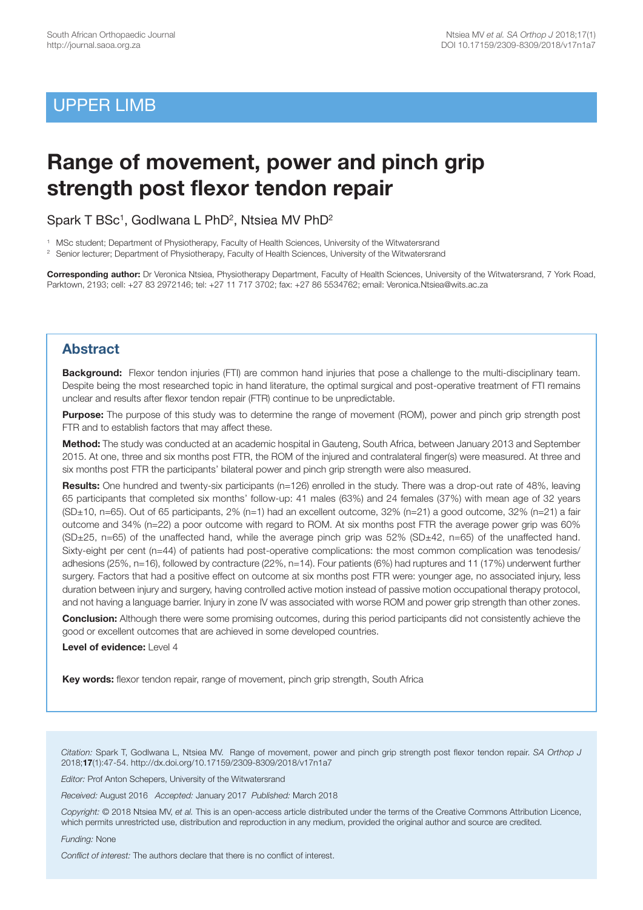# UPPER LIMB

# **Range of movement, power and pinch grip strength post flexor tendon repair**

Spark T BSc<sup>1</sup>, Godlwana L PhD<sup>2</sup>, Ntsiea MV PhD<sup>2</sup>

1 MSc student; Department of Physiotherapy, Faculty of Health Sciences, University of the Witwatersrand

2 Senior lecturer; Department of Physiotherapy, Faculty of Health Sciences, University of the Witwatersrand

**Corresponding author:** Dr Veronica Ntsiea, Physiotherapy Department, Faculty of Health Sciences, University of the Witwatersrand, 7 York Road, Parktown, 2193; cell: +27 83 2972146; tel: +27 11 717 3702; fax: +27 86 5534762; email: Veronica.Ntsiea@wits.ac.za

# **Abstract**

**Background:** Flexor tendon injuries (FTI) are common hand injuries that pose a challenge to the multi-disciplinary team. Despite being the most researched topic in hand literature, the optimal surgical and post-operative treatment of FTI remains unclear and results after flexor tendon repair (FTR) continue to be unpredictable.

**Purpose:** The purpose of this study was to determine the range of movement (ROM), power and pinch grip strength post FTR and to establish factors that may affect these.

**Method:** The study was conducted at an academic hospital in Gauteng, South Africa, between January 2013 and September 2015. At one, three and six months post FTR, the ROM of the injured and contralateral finger(s) were measured. At three and six months post FTR the participants' bilateral power and pinch grip strength were also measured.

**Results:** One hundred and twenty-six participants (n=126) enrolled in the study. There was a drop-out rate of 48%, leaving 65 participants that completed six months' follow-up: 41 males (63%) and 24 females (37%) with mean age of 32 years (SD±10, n=65). Out of 65 participants, 2% (n=1) had an excellent outcome, 32% (n=21) a good outcome, 32% (n=21) a fair outcome and 34% (n=22) a poor outcome with regard to ROM. At six months post FTR the average power grip was 60% (SD±25, n=65) of the unaffected hand, while the average pinch grip was 52% (SD±42, n=65) of the unaffected hand. Sixty-eight per cent (n=44) of patients had post-operative complications: the most common complication was tenodesis/ adhesions (25%, n=16), followed by contracture (22%, n=14). Four patients (6%) had ruptures and 11 (17%) underwent further surgery. Factors that had a positive effect on outcome at six months post FTR were: younger age, no associated injury, less duration between injury and surgery, having controlled active motion instead of passive motion occupational therapy protocol, and not having a language barrier. Injury in zone IV was associated with worse ROM and power grip strength than other zones.

**Conclusion:** Although there were some promising outcomes, during this period participants did not consistently achieve the good or excellent outcomes that are achieved in some developed countries.

**Level of evidence:** Level 4

**Key words:** flexor tendon repair, range of movement, pinch grip strength, South Africa

*Citation:* Spark T, Godlwana L, Ntsiea MV. Range of movement, power and pinch grip strength post flexor tendon repair. *SA Orthop J* 2018;**17**(1):47-54. http://dx.doi.org/10.17159/2309-8309/2018/v17n1a7

*Editor:* Prof Anton Schepers, University of the Witwatersrand

*Received:* August 2016 *Accepted:* January 2017 *Published:* March 2018

*Copyright:* © 2018 Ntsiea MV, *et al.* This is an open-access article distributed under the terms of the Creative Commons Attribution Licence, which permits unrestricted use, distribution and reproduction in any medium, provided the original author and source are credited.

*Funding:* None

*Conflict of interest:* The authors declare that there is no conflict of interest.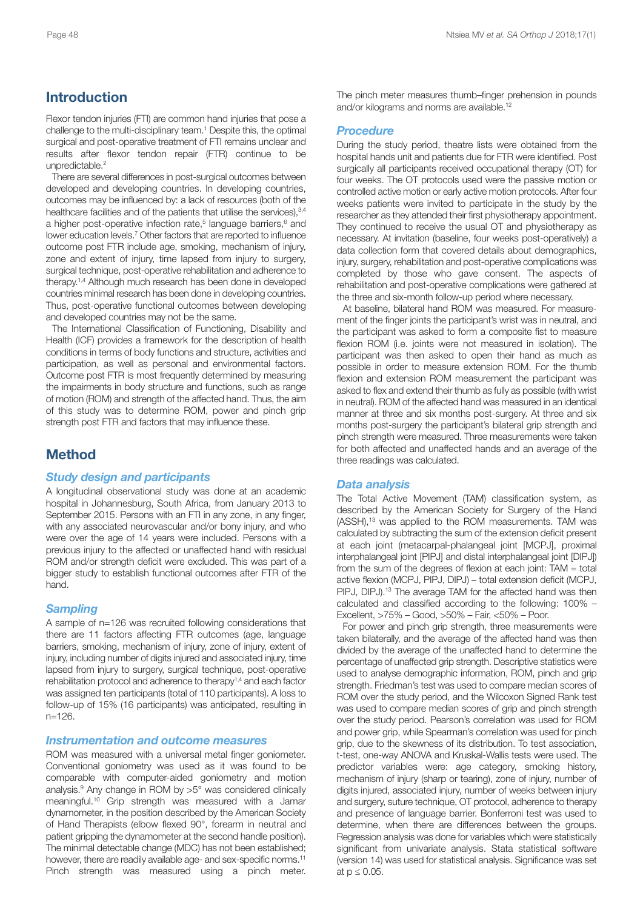# **Introduction**

Flexor tendon injuries (FTI) are common hand injuries that pose a challenge to the multi-disciplinary team. <sup>1</sup> Despite this, the optimal surgical and post-operative treatment of FTI remains unclear and results after flexor tendon repair (FTR) continue to be unpredictable. 2

There are several differences in post-surgical outcomes between developed and developing countries. In developing countries, outcomes may be influenced by: a lack of resources (both of the healthcare facilities and of the patients that utilise the services), 3,4 a higher post-operative infection rate, <sup>5</sup> language barriers, <sup>6</sup> and lower education levels. <sup>7</sup> Other factors that are reported to influence outcome post FTR include age, smoking, mechanism of injury, zone and extent of injury, time lapsed from injury to surgery, surgical technique, post-operative rehabilitation and adherence to therapy. 1,4 Although much research has been done in developed countries minimal research has been done in developing countries. Thus, post-operative functional outcomes between developing and developed countries may not be the same.

The International Classification of Functioning, Disability and Health (ICF) provides a framework for the description of health conditions in terms of body functions and structure, activities and participation, as well as personal and environmental factors. Outcome post FTR is most frequently determined by measuring the impairments in body structure and functions, such as range of motion (ROM) and strength of the affected hand. Thus, the aim of this study was to determine ROM, power and pinch grip strength post FTR and factors that may influence these.

# **Method**

### *Study design and participants*

A longitudinal observational study was done at an academic hospital in Johannesburg, South Africa, from January 2013 to September 2015. Persons with an FTI in any zone, in any finger, with any associated neurovascular and/or bony injury, and who were over the age of 14 years were included. Persons with a previous injury to the affected or unaffected hand with residual ROM and/or strength deficit were excluded. This was part of a bigger study to establish functional outcomes after FTR of the hand.

### *Sampling*

A sample of n=126 was recruited following considerations that there are 11 factors affecting FTR outcomes (age, language barriers, smoking, mechanism of injury, zone of injury, extent of injury, including number of digits injured and associated injury, time lapsed from injury to surgery, surgical technique, post-operative rehabilitation protocol and adherence to therapy1,4 and each factor was assigned ten participants (total of 110 participants). A loss to follow-up of 15% (16 participants) was anticipated, resulting in  $n=126$ 

### *Instrumentation and outcome measures*

ROM was measured with a universal metal finger goniometer. Conventional goniometry was used as it was found to be comparable with computer-aided goniometry and motion analysis. <sup>9</sup> Any change in ROM by >5° was considered clinically meaningful. <sup>10</sup> Grip strength was measured with a Jamar dynamometer, in the position described by the American Society of Hand Therapists (elbow flexed 90°, forearm in neutral and patient gripping the dynamometer at the second handle position). The minimal detectable change (MDC) has not been established; however, there are readily available age- and sex-specific norms.<sup>11</sup> Pinch strength was measured using a pinch meter. The pinch meter measures thumb–finger prehension in pounds and/or kilograms and norms are available. 12

### *Procedure*

During the study period, theatre lists were obtained from the hospital hands unit and patients due for FTR were identified. Post surgically all participants received occupational therapy (OT) for four weeks. The OT protocols used were the passive motion or controlled active motion or early active motion protocols. After four weeks patients were invited to participate in the study by the researcher as they attended their first physiotherapy appointment. They continued to receive the usual OT and physiotherapy as necessary. At invitation (baseline, four weeks post-operatively) a data collection form that covered details about demographics, injury, surgery, rehabilitation and post-operative complications was completed by those who gave consent. The aspects of rehabilitation and post-operative complications were gathered at the three and six-month follow-up period where necessary.

At baseline, bilateral hand ROM was measured. For measurement of the finger joints the participant's wrist was in neutral, and the participant was asked to form a composite fist to measure flexion ROM (i.e. joints were not measured in isolation). The participant was then asked to open their hand as much as possible in order to measure extension ROM. For the thumb flexion and extension ROM measurement the participant was asked to flex and extend their thumb as fully as possible (with wrist in neutral). ROM of the affected hand was measured in an identical manner at three and six months post-surgery. At three and six months post-surgery the participant's bilateral grip strength and pinch strength were measured. Three measurements were taken for both affected and unaffected hands and an average of the three readings was calculated.

### *Data analysis*

The Total Active Movement (TAM) classification system, as described by the American Society for Surgery of the Hand (ASSH), <sup>13</sup> was applied to the ROM measurements. TAM was calculated by subtracting the sum of the extension deficit present at each joint (metacarpal-phalangeal joint [MCPJ], proximal interphalangeal joint [PIPJ] and distal interphalangeal joint [DIPJ]) from the sum of the degrees of flexion at each joint: TAM = total active flexion (MCPJ, PIPJ, DIPJ) – total extension deficit (MCPJ, PIPJ, DIPJ).<sup>13</sup> The average TAM for the affected hand was then calculated and classified according to the following: 100% – Excellent, >75% – Good, >50% – Fair, <50% – Poor.

For power and pinch grip strength, three measurements were taken bilaterally, and the average of the affected hand was then divided by the average of the unaffected hand to determine the percentage of unaffected grip strength. Descriptive statistics were used to analyse demographic information, ROM, pinch and grip strength. Friedman's test was used to compare median scores of ROM over the study period, and the Wilcoxon Signed Rank test was used to compare median scores of grip and pinch strength over the study period. Pearson's correlation was used for ROM and power grip, while Spearman's correlation was used for pinch grip, due to the skewness of its distribution. To test association, t-test, one-way ANOVA and Kruskal-Wallis tests were used. The predictor variables were: age category, smoking history, mechanism of injury (sharp or tearing), zone of injury, number of digits injured, associated injury, number of weeks between injury and surgery, suture technique, OT protocol, adherence to therapy and presence of language barrier. Bonferroni test was used to determine, when there are differences between the groups. Regression analysis was done for variables which were statistically significant from univariate analysis. Stata statistical software (version 14) was used for statistical analysis. Significance was set at  $p \leq 0.05$ .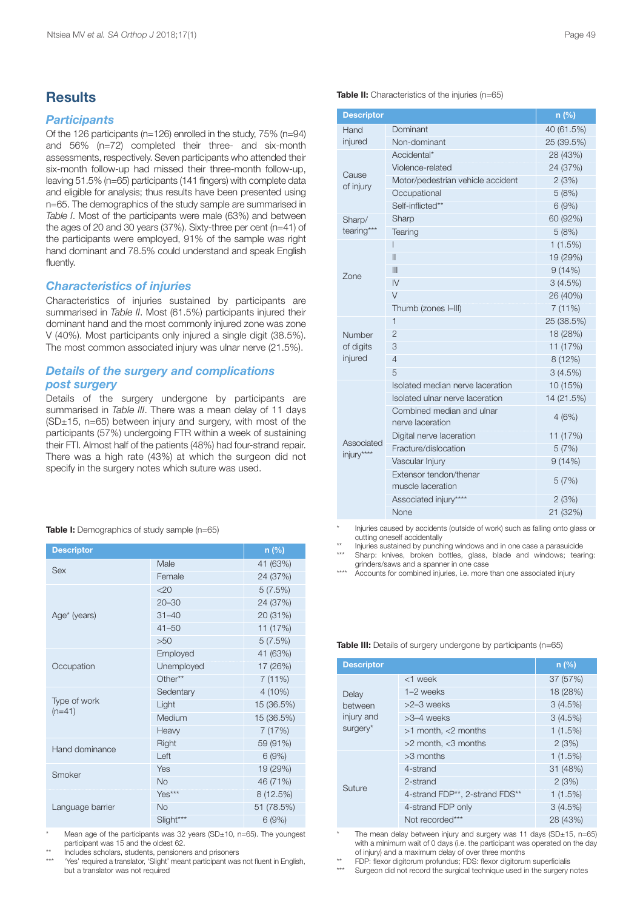# **Results**

# *Participants*

Of the 126 participants (n=126) enrolled in the study, 75% (n=94) and 56% (n=72) completed their three- and six-month assessments, respectively. Seven participants who attended their six-month follow-up had missed their three-month follow-up, leaving 51.5% (n=65) participants (141 fingers) with complete data and eligible for analysis; thus results have been presented using n=65. The demographics of the study sample are summarised in *Table I*. Most of the participants were male (63%) and between the ages of 20 and 30 years (37%). Sixty-three per cent (n=41) of the participants were employed, 91% of the sample was right hand dominant and 78.5% could understand and speak English fluently.

### *Characteristics of injuries*

Characteristics of injuries sustained by participants are summarised in *Table II*. Most (61.5%) participants injured their dominant hand and the most commonly injured zone was zone V (40%). Most participants only injured a single digit (38.5%). The most common associated injury was ulnar nerve (21.5%).

# *Details of the surgery and complications post surgery*

Details of the surgery undergone by participants are summarised in *Table III*. There was a mean delay of 11 days  $(SD±15, n=65)$  between injury and surgery, with most of the participants (57%) undergoing FTR within a week of sustaining their FTI. Almost half of the patients (48%) had four-strand repair. There was a high rate (43%) at which the surgeon did not specify in the surgery notes which suture was used.

|  | Table I: Demographics of study sample (n=65) |  |  |  |
|--|----------------------------------------------|--|--|--|
|--|----------------------------------------------|--|--|--|

| <b>Descriptor</b>        | n(%)       |            |
|--------------------------|------------|------------|
| Sex                      | Male       | 41 (63%)   |
|                          | Female     | 24 (37%)   |
|                          | 20         | 5(7.5%)    |
|                          | $20 - 30$  | 24 (37%)   |
| Age* (years)             | $31 - 40$  | 20 (31%)   |
|                          | $41 - 50$  | 11 (17%)   |
|                          | >50        | 5(7.5%)    |
|                          | Employed   | 41 (63%)   |
| Occupation               | Unemployed | 17 (26%)   |
|                          | Other**    | 7(11%)     |
|                          | Sedentary  | 4 (10%)    |
| Type of work<br>$(n=41)$ | Light      | 15 (36.5%) |
|                          | Medium     | 15 (36.5%) |
|                          | Heavy      | 7(17%)     |
| Hand dominance           | Right      | 59 (91%)   |
|                          | Left       | 6(9%)      |
| Smoker                   | Yes        | 19 (29%)   |
|                          | <b>No</b>  | 46 (71%)   |
|                          | Yes***     | 8(12.5%)   |
| Language barrier         | <b>No</b>  | 51 (78.5%) |
|                          | Slight***  | 6(9%)      |

Mean age of the participants was 32 years (SD±10, n=65). The youngest participant was 15 and the oldest 62.

Includes scholars, students, pensioners and prisoners

'Yes' required a translator, 'Slight' meant participant was not fluent in English, but a translator was not required

| <b>Descriptor</b>        |                                               | n(%)       |
|--------------------------|-----------------------------------------------|------------|
| Hand                     | Dominant                                      | 40 (61.5%) |
| injured                  | Non-dominant                                  | 25 (39.5%) |
|                          | Accidental*                                   | 28 (43%)   |
|                          | Violence-related                              | 24 (37%)   |
| Cause<br>of injury       | Motor/pedestrian vehicle accident             | 2(3%)      |
|                          | Occupational                                  | 5(8%)      |
|                          | Self-inflicted**                              | 6(9%)      |
| Sharp/                   | Sharp                                         | 60 (92%)   |
| tearing***               | Tearing                                       | 5(8%)      |
|                          | ı                                             | $1(1.5\%)$ |
|                          | Π                                             | 19 (29%)   |
| Zone                     | Ш                                             | 9(14%)     |
|                          | $\overline{N}$                                | 3(4.5%)    |
|                          | $\vee$                                        | 26 (40%)   |
|                          | Thumb (zones I-III)                           | 7(11%)     |
|                          | 1                                             | 25 (38.5%) |
| Number                   | $\overline{2}$                                | 18 (28%)   |
| of digits                | 3                                             | 11 (17%)   |
| injured                  | $\overline{4}$                                | 8(12%)     |
|                          | 5                                             | 3(4.5%)    |
|                          | Isolated median nerve laceration              | 10 (15%)   |
|                          | Isolated ulnar nerve laceration               | 14 (21.5%) |
|                          | Combined median and ulnar<br>nerve laceration | 4(6%)      |
|                          | Digital nerve laceration                      | 11 (17%)   |
| Associated<br>injury**** | Fracture/dislocation                          | 5(7%)      |
|                          | Vascular Injury                               | 9(14%)     |
|                          | Extensor tendon/thenar<br>muscle laceration   | 5(7%)      |
|                          | Associated injury****                         | 2(3%)      |
|                          | None                                          | 21 (32%)   |

**Table II:** Characteristics of the injuries (n=65)

Injuries caused by accidents (outside of work) such as falling onto glass or cutting oneself accidentally

\*\* Injuries sustained by punching windows and in one case a parasuicide Sharp: knives, broken bottles, glass, blade and windows; tearing: grinders/saws and a spanner in one case

\*\*\*\* Accounts for combined injuries, i.e. more than one associated injury

#### **Table III:** Details of surgery undergone by participants (n=65)

| <b>Descriptor</b> |                                                         | n(%)     |
|-------------------|---------------------------------------------------------|----------|
| Delay             | $<$ 1 week                                              | 37 (57%) |
|                   | $1-2$ weeks                                             | 18 (28%) |
| between           | $>2-3$ weeks                                            | 3(4.5%)  |
| injury and        | $>3-4$ weeks                                            | 3(4.5%)  |
| surgery*          | $>1$ month, $<$ 2 months                                | 1(1.5%)  |
|                   | $>2$ month, $<$ 3 months                                | 2(3%)    |
|                   | $>3$ months                                             | 1(1.5%)  |
|                   | 4-strand                                                | 31 (48%) |
| Suture            | 2-strand                                                | 2(3%)    |
|                   | 4-strand FDP <sup>**</sup> , 2-strand FDS <sup>**</sup> | 1(1.5%)  |
|                   | 4-strand FDP only                                       | 3(4.5%)  |
|                   | Not recorded***                                         | 28 (43%) |

The mean delay between injury and surgery was 11 days (SD $\pm$ 15, n=65) with a minimum wait of 0 days (i.e. the participant was operated on the day of injury) and a maximum delay of over three months

\*\* FDP: flexor digitorum profundus; FDS: flexor digitorum superficialis

Surgeon did not record the surgical technique used in the surgery notes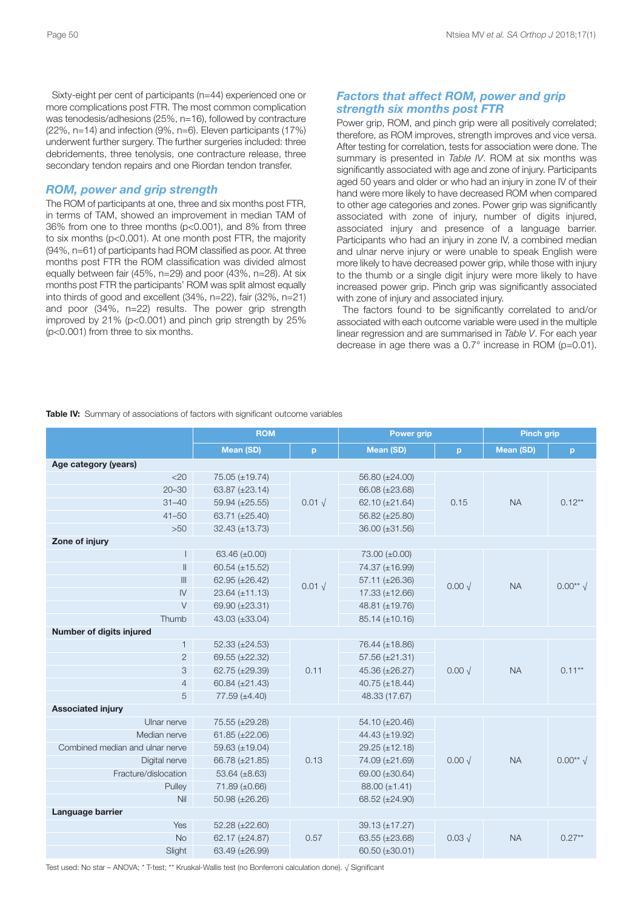Sixty-eight per cent of participants (n=44) experienced one or more complications post FTR. The most common complication was tenodesis/adhesions (25%, n=16), followed by contracture (22%, n=14) and infection (9%, n=6). Eleven participants (17%) underwent further surgery. The further surgeries included: three debridements, three tenolysis, one contracture release, three secondary tendon repairs and one Riordan tendon transfer.

## *ROM, power and grip strength*

The ROM of participants at one, three and six months post FTR, in terms of TAM, showed an improvement in median TAM of 36% from one to three months (p<0.001), and 8% from three to six months (p<0.001). At one month post FTR, the majority (94%, n=61) of participants had ROM classified as poor. At three months post FTR the ROM classification was divided almost equally between fair (45%, n=29) and poor (43%, n=28). At six months post FTR the participants' ROM was split almost equally into thirds of good and excellent (34%, n=22), fair (32%, n=21) and poor (34%, n=22) results. The power grip strength improved by 21% (p<0.001) and pinch grip strength by 25% (p<0.001) from three to six months.

# *Factors that affect ROM, power and grip strength six months post FTR*

Power grip, ROM, and pinch grip were all positively correlated; therefore, as ROM improves, strength improves and vice versa. After testing for correlation, tests for association were done. The summary is presented in *Table IV*. ROM at six months was significantly associated with age and zone of injury. Participants aged 50 years and older or who had an injury in zone IV of their hand were more likely to have decreased ROM when compared to other age categories and zones. Power grip was significantly associated with zone of injury, number of digits injured, associated injury and presence of a language barrier. Participants who had an injury in zone IV, a combined median and ulnar nerve injury or were unable to speak English were more likely to have decreased power grip, while those with injury to the thumb or a single digit injury were more likely to have increased power grip. Pinch grip was significantly associated with zone of injury and associated injury.

The factors found to be significantly correlated to and/or associated with each outcome variable were used in the multiple linear regression and are summarised in *Table V*. For each year decrease in age there was a 0.7° increase in ROM (p=0.01).

**Table IV:** Summary of associations of factors with significant outcome variables

|                                 | <b>ROM</b>           |                | <b>Power grip</b>    |                 | <b>Pinch grip</b> |                     |
|---------------------------------|----------------------|----------------|----------------------|-----------------|-------------------|---------------------|
|                                 | <b>Mean (SD)</b>     | p              | <b>Mean (SD)</b>     | p               | <b>Mean (SD)</b>  | p                   |
| Age category (years)            |                      |                |                      |                 |                   |                     |
| $<$ 20                          | 75.05 (±19.74)       |                | 56.80 (±24.00)       |                 |                   |                     |
| $20 - 30$                       | 63.87 (±23.14)       |                | 66.08 (±23.68)       |                 | <b>NA</b>         |                     |
| $31 - 40$                       | 59.94 (±25.55)       | $0.01\sqrt{ }$ | 62.10 $(\pm 21.64)$  | 0.15            |                   | $0.12**$            |
| $41 - 50$                       | 63.71 (±25.40)       |                | 56.82 (±25.80)       |                 |                   |                     |
| $>50$                           | $32.43 (\pm 13.73)$  |                | 36.00 (±31.56)       |                 |                   |                     |
| Zone of injury                  |                      |                |                      |                 |                   |                     |
|                                 | 63.46 (±0.00)        |                | 73.00 (±0.00)        |                 |                   |                     |
| $\parallel$                     | 60.54 ( $\pm$ 15.52) |                | 74.37 (±16.99)       |                 |                   | $0.00**$ $\sqrt{ }$ |
| $\mathbb{H}$                    | 62.95 (±26.42)       | $0.01\sqrt{ }$ | 57.11 (±26.36)       | $0.00\sqrt{}$   | <b>NA</b>         |                     |
| $\overline{N}$                  | $23.64 (\pm 11.13)$  |                | $17.33 (\pm 12.66)$  |                 |                   |                     |
| $\vee$                          | 69.90 (±23.31)       |                | 48.81 (±19.76)       |                 |                   |                     |
| Thumb                           | 43.03 (±33.04)       |                | $85.14 (\pm 10.16)$  |                 |                   |                     |
| Number of digits injured        |                      |                |                      |                 |                   |                     |
| $\mathbf{1}$                    | $52.33 (\pm 24.53)$  |                | 76.44 (±18.86)       |                 |                   |                     |
| 2                               | 69.55 (±22.32)       |                | 57.56 (±21.31)       |                 |                   |                     |
| 3                               | 62.75 (±29.39)       | 0.11           | 45.36 (±26.27)       | $0.00 \sqrt{ }$ | <b>NA</b>         | $0.11***$           |
| $\overline{4}$                  | 60.84 $(\pm 21.43)$  |                | 40.75 ( $\pm$ 18.44) |                 |                   |                     |
| 5                               | $77.59 (\pm 4.40)$   |                | 48.33 (17.67)        |                 |                   |                     |
| <b>Associated injury</b>        |                      |                |                      |                 |                   |                     |
| Ulnar nerve                     | 75.55 (±29.28)       |                | 54.10 (±20.46)       |                 |                   |                     |
| Median nerve                    | $61.85 (\pm 22.06)$  |                | 44.43 (±19.92)       |                 |                   |                     |
| Combined median and ulnar nerve | 59.63 (±19.04)       |                | 29.25 (±12.18)       |                 |                   | $0.00**$ $\sqrt{ }$ |
| Digital nerve                   | 66.78 (±21.85)       | 0.13           | 74.09 (±21.69)       | $0.00 \sqrt{ }$ | <b>NA</b>         |                     |
| Fracture/dislocation            | 53.64 $(\pm 8.63)$   |                | 69.00 (±30.64)       |                 |                   |                     |
| Pulley                          | $71.89 (\pm 0.66)$   |                | $88.00 \ (\pm 1.41)$ |                 |                   |                     |
| Nil                             | $50.98 (\pm 26.26)$  |                | 68.52 (±24.90)       |                 |                   |                     |
| Language barrier                |                      |                |                      |                 |                   |                     |
| Yes                             | 52.28 (±22.60)       |                | 39.13 (±17.27)       |                 |                   |                     |
| <b>No</b>                       | 62.17 (±24.87)       | 0.57           | 63.55 $(\pm 23.68)$  | $0.03\sqrt{ }$  | <b>NA</b>         | $0.27**$            |
| Slight                          | 63.49 (±26.99)       |                | 60.50 $(\pm 30.01)$  |                 |                   |                     |

Test used: No star – ANOVA; \* T-test; \*\* Kruskal-Wallis test (no Bonferroni calculation done). √ Significant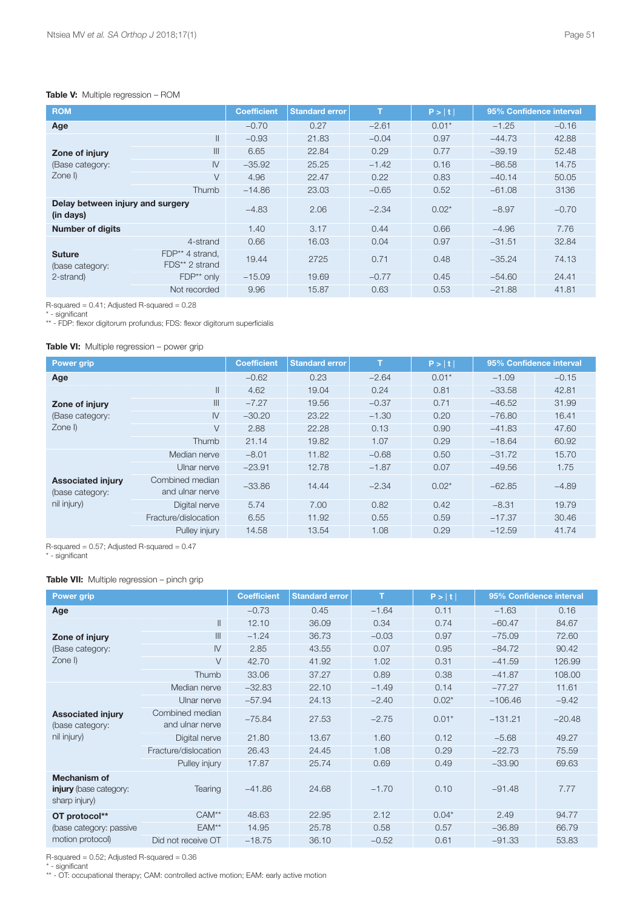### **Table V:** Multiple regression – ROM

| <b>ROM</b>                                    |                                   |          | <b>Standard error</b> | T       | P >  t  | 95% Confidence interval |         |
|-----------------------------------------------|-----------------------------------|----------|-----------------------|---------|---------|-------------------------|---------|
| Age                                           |                                   | $-0.70$  | 0.27                  | $-2.61$ | $0.01*$ | $-1.25$                 | $-0.16$ |
|                                               | $\mathbf{II}$                     | $-0.93$  | 21.83                 | $-0.04$ | 0.97    | $-44.73$                | 42.88   |
| Zone of injury                                | III                               | 6.65     | 22.84                 | 0.29    | 0.77    | $-39.19$                | 52.48   |
| (Base category:                               | IV                                | $-35.92$ | 25.25                 | $-1.42$ | 0.16    | $-86.58$                | 14.75   |
| $Zone$ I)                                     | $\vee$                            | 4.96     | 22.47                 | 0.22    | 0.83    | $-40.14$                | 50.05   |
|                                               | <b>Thumb</b>                      | $-14.86$ | 23.03                 | $-0.65$ | 0.52    | $-61.08$                | 3136    |
| Delay between injury and surgery<br>(in days) |                                   | $-4.83$  | 2.06                  | $-2.34$ | $0.02*$ | $-8.97$                 | $-0.70$ |
| <b>Number of digits</b>                       |                                   | 1.40     | 3.17                  | 0.44    | 0.66    | $-4.96$                 | 7.76    |
|                                               | 4-strand                          | 0.66     | 16.03                 | 0.04    | 0.97    | $-31.51$                | 32.84   |
| <b>Suture</b><br>(base category:              | FDP** 4 strand,<br>FDS** 2 strand | 19.44    | 2725                  | 0.71    | 0.48    | $-35.24$                | 74.13   |
| 2-strand)                                     | $FDP**$ only                      | $-15.09$ | 19.69                 | $-0.77$ | 0.45    | $-54.60$                | 24.41   |
|                                               | Not recorded                      | 9.96     | 15.87                 | 0.63    | 0.53    | $-21.88$                | 41.81   |

R-squared = 0.41; Adjusted R-squared = 0.28

\* - significant

\*\* - FDP: flexor digitorum profundus; FDS: flexor digitorum superficialis

### **Table VI:** Multiple regression – power grip

| <b>Power grip</b>                                          |                                    | <b>Coefficient</b> | <b>Standard error</b> | T       | P >  t  | 95% Confidence interval |         |
|------------------------------------------------------------|------------------------------------|--------------------|-----------------------|---------|---------|-------------------------|---------|
| Age                                                        |                                    | $-0.62$            | 0.23                  | $-2.64$ | $0.01*$ | $-1.09$                 | $-0.15$ |
|                                                            | $\mathbf{II}$                      | 4.62               | 19.04                 | 0.24    | 0.81    | $-33.58$                | 42.81   |
| Zone of injury                                             | III                                | $-7.27$            | 19.56                 | $-0.37$ | 0.71    | $-46.52$                | 31.99   |
| (Base category:                                            | $\mathsf{IV}$                      | $-30.20$           | 23.22                 | $-1.30$ | 0.20    | $-76.80$                | 16.41   |
| $Zone$ I)                                                  | V                                  | 2.88               | 22.28                 | 0.13    | 0.90    | $-41.83$                | 47.60   |
|                                                            | Thumb                              | 21.14              | 19.82                 | 1.07    | 0.29    | $-18.64$                | 60.92   |
|                                                            | Median nerve                       | $-8.01$            | 11.82                 | $-0.68$ | 0.50    | $-31.72$                | 15.70   |
|                                                            | Ulnar nerve                        | $-23.91$           | 12.78                 | $-1.87$ | 0.07    | $-49.56$                | 1.75    |
| <b>Associated injury</b><br>(base category:<br>nil injury) | Combined median<br>and ulnar nerve | $-33.86$           | 14.44                 | $-2.34$ | $0.02*$ | $-62.85$                | $-4.89$ |
|                                                            | Digital nerve                      | 5.74               | 7.00                  | 0.82    | 0.42    | $-8.31$                 | 19.79   |
|                                                            | Fracture/dislocation               | 6.55               | 11.92                 | 0.55    | 0.59    | $-17.37$                | 30.46   |
|                                                            | Pulley injury                      | 14.58              | 13.54                 | 1.08    | 0.29    | $-12.59$                | 41.74   |

R-squared = 0.57; Adjusted R-squared = 0.47

\* - significant

## **Table VII:** Multiple regression – pinch grip

| Power grip                                                     |                                    | <b>Coefficient</b> | <b>Standard error</b> | T       | P >  t  | 95% Confidence interval |          |
|----------------------------------------------------------------|------------------------------------|--------------------|-----------------------|---------|---------|-------------------------|----------|
|                                                                |                                    |                    |                       |         |         |                         |          |
| Age                                                            |                                    | $-0.73$            | 0.45                  | $-1.64$ | 0.11    | $-1.63$                 | 0.16     |
|                                                                | $\parallel$                        | 12.10              | 36.09                 | 0.34    | 0.74    | $-60.47$                | 84.67    |
| Zone of injury                                                 | III                                | $-1.24$            | 36.73                 | $-0.03$ | 0.97    | $-75.09$                | 72.60    |
| (Base category:                                                | $\mathsf{IV}$                      | 2.85               | 43.55                 | 0.07    | 0.95    | $-84.72$                | 90.42    |
| Zone I)                                                        | $\vee$                             | 42.70              | 41.92                 | 1.02    | 0.31    | $-41.59$                | 126.99   |
|                                                                | Thumb                              | 33.06              | 37.27                 | 0.89    | 0.38    | $-41.87$                | 108.00   |
|                                                                | Median nerve                       | $-32.83$           | 22.10                 | $-1.49$ | 0.14    | $-77.27$                | 11.61    |
|                                                                | Ulnar nerve                        | $-57.94$           | 24.13                 | $-2.40$ | $0.02*$ | $-106.46$               | $-9.42$  |
| <b>Associated injury</b><br>(base category:                    | Combined median<br>and ulnar nerve | $-75.84$           | 27.53                 | $-2.75$ | $0.01*$ | $-131.21$               | $-20.48$ |
| nil injury)                                                    | Digital nerve                      | 21.80              | 13.67                 | 1.60    | 0.12    | $-5.68$                 | 49.27    |
|                                                                | Fracture/dislocation               | 26.43              | 24.45                 | 1.08    | 0.29    | $-22.73$                | 75.59    |
|                                                                | Pulley injury                      | 17.87              | 25.74                 | 0.69    | 0.49    | $-33.90$                | 69.63    |
| Mechanism of<br><b>injury</b> (base category:<br>sharp injury) | Tearing                            | $-41.86$           | 24.68                 | $-1.70$ | 0.10    | $-91.48$                | 7.77     |
| OT protocol**                                                  | CAM <sup>**</sup>                  | 48.63              | 22.95                 | 2.12    | $0.04*$ | 2.49                    | 94.77    |
| (base category: passive                                        | EAM**                              | 14.95              | 25.78                 | 0.58    | 0.57    | $-36.89$                | 66.79    |
| motion protocol)                                               | Did not receive OT                 | $-18.75$           | 36.10                 | $-0.52$ | 0.61    | $-91.33$                | 53.83    |

R-squared = 0.52; Adjusted R-squared = 0.36

\* - significant

\*\* - OT: occupational therapy; CAM: controlled active motion; EAM: early active motion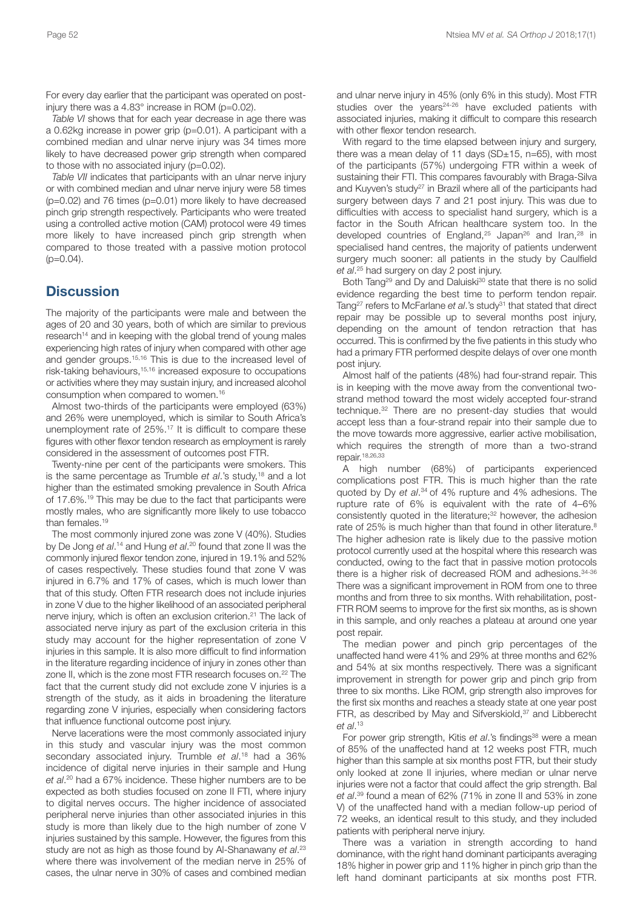For every day earlier that the participant was operated on postinjury there was a 4.83° increase in ROM (p=0.02).

*Table VI* shows that for each year decrease in age there was a 0.62kg increase in power grip (p=0.01). A participant with a combined median and ulnar nerve injury was 34 times more likely to have decreased power grip strength when compared to those with no associated injury (p=0.02).

*Table VII* indicates that participants with an ulnar nerve injury or with combined median and ulnar nerve injury were 58 times (p=0.02) and 76 times (p=0.01) more likely to have decreased pinch grip strength respectively. Participants who were treated using a controlled active motion (CAM) protocol were 49 times more likely to have increased pinch grip strength when compared to those treated with a passive motion protocol  $(p=0.04)$ .

# **Discussion**

The majority of the participants were male and between the ages of 20 and 30 years, both of which are similar to previous research<sup>14</sup> and in keeping with the global trend of young males experiencing high rates of injury when compared with other age and gender groups. 15,16 This is due to the increased level of risk-taking behaviours, 15,16 increased exposure to occupations or activities where they may sustain injury, and increased alcohol consumption when compared to women. 16

Almost two-thirds of the participants were employed (63%) and 26% were unemployed, which is similar to South Africa's unemployment rate of 25%. <sup>17</sup> It is difficult to compare these figures with other flexor tendon research as employment is rarely considered in the assessment of outcomes post FTR.

Twenty-nine per cent of the participants were smokers. This is the same percentage as Trumble *et al*.'s study, <sup>18</sup> and a lot higher than the estimated smoking prevalence in South Africa of 17.6%. <sup>19</sup> This may be due to the fact that participants were mostly males, who are significantly more likely to use tobacco than females. 19

The most commonly injured zone was zone V (40%). Studies by De Jong *et al*. <sup>14</sup> and Hung *et al*. <sup>20</sup> found that zone II was the commonly injured flexor tendon zone, injured in 19.1% and 52% of cases respectively. These studies found that zone V was injured in 6.7% and 17% of cases, which is much lower than that of this study. Often FTR research does not include injuries in zone V due to the higher likelihood of an associated peripheral nerve injury, which is often an exclusion criterion. <sup>21</sup> The lack of associated nerve injury as part of the exclusion criteria in this study may account for the higher representation of zone V injuries in this sample. It is also more difficult to find information in the literature regarding incidence of injury in zones other than zone II, which is the zone most FTR research focuses on. <sup>22</sup> The fact that the current study did not exclude zone V injuries is a strength of the study, as it aids in broadening the literature regarding zone V injuries, especially when considering factors that influence functional outcome post injury.

Nerve lacerations were the most commonly associated injury in this study and vascular injury was the most common secondary associated injury. Trumble *et al*. <sup>18</sup> had a 36% incidence of digital nerve injuries in their sample and Hung *et al*. <sup>20</sup> had a 67% incidence. These higher numbers are to be expected as both studies focused on zone II FTI, where injury to digital nerves occurs. The higher incidence of associated peripheral nerve injuries than other associated injuries in this study is more than likely due to the high number of zone V injuries sustained by this sample. However, the figures from this study are not as high as those found by Al-Shanawany *et al*. 23 where there was involvement of the median nerve in 25% of cases, the ulnar nerve in 30% of cases and combined median

and ulnar nerve injury in 45% (only 6% in this study). Most FTR studies over the years<sup>24-26</sup> have excluded patients with associated injuries, making it difficult to compare this research with other flexor tendon research.

With regard to the time elapsed between injury and surgery, there was a mean delay of 11 days ( $SD±15$ , n=65), with most of the participants (57%) undergoing FTR within a week of sustaining their FTI. This compares favourably with Braga-Silva and Kuyven's study<sup>27</sup> in Brazil where all of the participants had surgery between days 7 and 21 post injury. This was due to difficulties with access to specialist hand surgery, which is a factor in the South African healthcare system too. In the developed countries of England,<sup>25</sup> Japan<sup>26</sup> and Iran,<sup>28</sup> in specialised hand centres, the majority of patients underwent surgery much sooner: all patients in the study by Caulfield *et al*. <sup>25</sup> had surgery on day 2 post injury.

Both Tang<sup>29</sup> and Dy and Daluiski<sup>30</sup> state that there is no solid evidence regarding the best time to perform tendon repair. Tang<sup>27</sup> refers to McFarlane et al.'s study<sup>31</sup> that stated that direct repair may be possible up to several months post injury, depending on the amount of tendon retraction that has occurred. This is confirmed by the five patients in this study who had a primary FTR performed despite delays of over one month post injury.

Almost half of the patients (48%) had four-strand repair. This is in keeping with the move away from the conventional twostrand method toward the most widely accepted four-strand technique. <sup>32</sup> There are no present-day studies that would accept less than a four-strand repair into their sample due to the move towards more aggressive, earlier active mobilisation, which requires the strength of more than a two-strand repair. 18,26,33

A high number (68%) of participants experienced complications post FTR. This is much higher than the rate quoted by Dy *et al*. <sup>34</sup> of 4% rupture and 4% adhesions. The rupture rate of 6% is equivalent with the rate of 4–6% consistently quoted in the literature; <sup>32</sup> however, the adhesion rate of 25% is much higher than that found in other literature.<sup>8</sup> The higher adhesion rate is likely due to the passive motion protocol currently used at the hospital where this research was conducted, owing to the fact that in passive motion protocols there is a higher risk of decreased ROM and adhesions. 34-36 There was a significant improvement in ROM from one to three months and from three to six months. With rehabilitation, post-FTR ROM seems to improve for the first six months, as is shown in this sample, and only reaches a plateau at around one year post repair.

The median power and pinch grip percentages of the unaffected hand were 41% and 29% at three months and 62% and 54% at six months respectively. There was a significant improvement in strength for power grip and pinch grip from three to six months. Like ROM, grip strength also improves for the first six months and reaches a steady state at one year post FTR, as described by May and Sifverskiold,<sup>37</sup> and Libberecht *et al*. 13

For power grip strength, Kitis *et al*.'s findings<sup>38</sup> were a mean of 85% of the unaffected hand at 12 weeks post FTR, much higher than this sample at six months post FTR, but their study only looked at zone II injuries, where median or ulnar nerve injuries were not a factor that could affect the grip strength. Bal *et al*. <sup>39</sup> found a mean of 62% (71% in zone II and 53% in zone V) of the unaffected hand with a median follow-up period of 72 weeks, an identical result to this study, and they included patients with peripheral nerve injury.

There was a variation in strength according to hand dominance, with the right hand dominant participants averaging 18% higher in power grip and 11% higher in pinch grip than the left hand dominant participants at six months post FTR.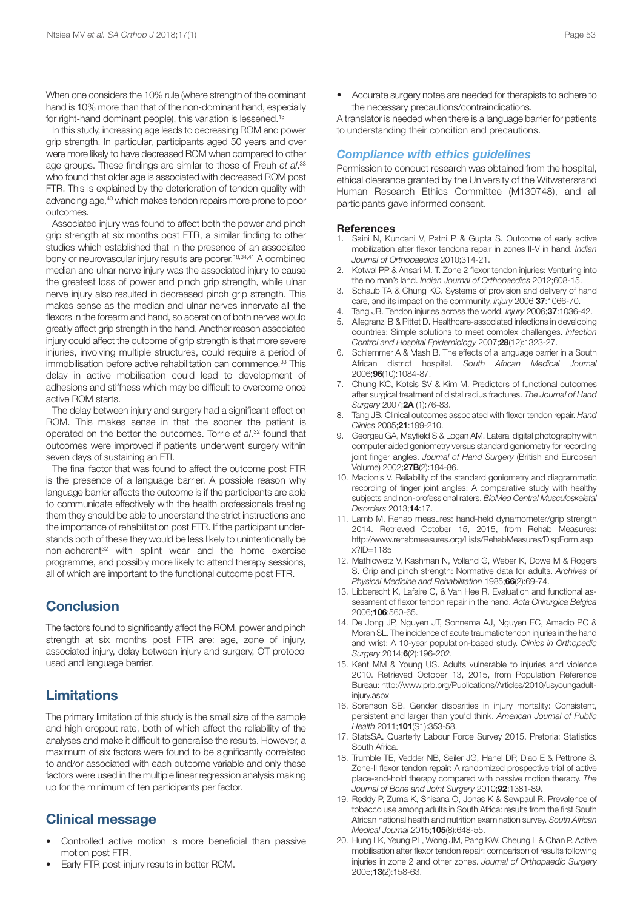When one considers the 10% rule (where strength of the dominant hand is 10% more than that of the non-dominant hand, especially for right-hand dominant people), this variation is lessened.<sup>13</sup>

In this study, increasing age leads to decreasing ROM and power grip strength. In particular, participants aged 50 years and over were more likely to have decreased ROM when compared to other age groups. These findings are similar to those of Freuh *et al*. 33 who found that older age is associated with decreased ROM post FTR. This is explained by the deterioration of tendon quality with advancing age, <sup>40</sup> which makes tendon repairs more prone to poor outcomes.

Associated injury was found to affect both the power and pinch grip strength at six months post FTR, a similar finding to other studies which established that in the presence of an associated bony or neurovascular injury results are poorer. 18,34,41 A combined median and ulnar nerve injury was the associated injury to cause the greatest loss of power and pinch grip strength, while ulnar nerve injury also resulted in decreased pinch grip strength. This makes sense as the median and ulnar nerves innervate all the flexors in the forearm and hand, so aceration of both nerves would greatly affect grip strength in the hand. Another reason associated injury could affect the outcome of grip strength is that more severe injuries, involving multiple structures, could require a period of immobilisation before active rehabilitation can commence. <sup>33</sup> This delay in active mobilisation could lead to development of adhesions and stiffness which may be difficult to overcome once active ROM starts.

The delay between injury and surgery had a significant effect on ROM. This makes sense in that the sooner the patient is operated on the better the outcomes. Torrie *et al*. <sup>32</sup> found that outcomes were improved if patients underwent surgery within seven days of sustaining an FTI.

The final factor that was found to affect the outcome post FTR is the presence of a language barrier. A possible reason why language barrier affects the outcome is if the participants are able to communicate effectively with the health professionals treating them they should be able to understand the strict instructions and the importance of rehabilitation post FTR. If the participant understands both of these they would be less likely to unintentionally be non-adherent <sup>32</sup> with splint wear and the home exercise programme, and possibly more likely to attend therapy sessions, all of which are important to the functional outcome post FTR.

# **Conclusion**

The factors found to significantly affect the ROM, power and pinch strength at six months post FTR are: age, zone of injury, associated injury, delay between injury and surgery, OT protocol used and language barrier.

# **Limitations**

The primary limitation of this study is the small size of the sample and high dropout rate, both of which affect the reliability of the analyses and make it difficult to generalise the results. However, a maximum of six factors were found to be significantly correlated to and/or associated with each outcome variable and only these factors were used in the multiple linear regression analysis making up for the minimum of ten participants per factor.

# **Clinical message**

- Controlled active motion is more beneficial than passive motion post FTR.
- Early FTR post-injury results in better ROM.

• Accurate surgery notes are needed for therapists to adhere to the necessary precautions/contraindications.

A translator is needed when there is a language barrier for patients to understanding their condition and precautions.

# *Compliance with ethics guidelines*

Permission to conduct research was obtained from the hospital, ethical clearance granted by the University of the Witwatersrand Human Research Ethics Committee (M130748), and all participants gave informed consent.

#### **References**

- 1. Saini N, Kundani V, Patni P & Gupta S. Outcome of early active mobilization after flexor tendons repair in zones II-V in hand. *Indian Journal of Orthopaedics* 2010;314-21.
- 2. Kotwal PP & Ansari M. T. Zone 2 flexor tendon injuries: Venturing into the no man's land. *Indian Journal of Orthopaedics* 2012;608-15.
- 3. Schaub TA & Chung KC. Systems of provision and delivery of hand care, and its impact on the community. *Injury* 2006 **37**:1066-70.
- 4. Tang JB. Tendon injuries across the world. *Injury* 2006;**37**:1036-42.
- 5. Allegranzi B & Pittet D. Healthcare-associated infections in developing countries: Simple solutions to meet complex challenges. *Infection Control and Hospital Epidemiology* 2007;**28**(12):1323-27.
- 6. Schlemmer A & Mash B. The effects of a language barrier in a South African district hospital. *South African Medical Journal* 2006;**96**(10):1084-87.
- 7. Chung KC, Kotsis SV & Kim M. Predictors of functional outcomes after surgical treatment of distal radius fractures. *The Journal of Hand Surgery* 2007;**2A** (1):76-83.
- 8. Tang JB. Clinical outcomes associated with flexor tendon repair. *Hand Clinics* 2005;**21**:199-210.
- 9. Georgeu GA, Mayfield S & Logan AM. Lateral digital photography with computer aided goniometry versus standard goniometry for recording joint finger angles. *Journal of Hand Surgery* (British and European Volume) 2002;**27B**(2):184-86.
- 10. Macionis V. Reliability of the standard goniometry and diagrammatic recording of finger joint angles: A comparative study with healthy subjects and non-professional raters. *BioMed Central Musculoskeletal Disorders* 2013;**14**:17.
- 11. Lamb M. Rehab measures: hand-held dynamometer/grip strength 2014. Retrieved October 15, 2015, from Rehab Measures: http://www.rehabmeasures.org/Lists/RehabMeasures/DispForm.asp x?ID=1185
- 12. Mathiowetz V, Kashman N, Volland G, Weber K, Dowe M & Rogers S. Grip and pinch strength: Normative data for adults. *Archives of Physical Medicine and Rehabilitation* 1985;**66**(2):69-74.
- 13. Libberecht K, Lafaire C, & Van Hee R. Evaluation and functional assessment of flexor tendon repair in the hand. *Acta Chirurgica Belgica* 2006;**106**:560-65.
- 14. De Jong JP, Nguyen JT, Sonnema AJ, Nguyen EC, Amadio PC & Moran SL. The incidence of acute traumatic tendon injuries in the hand and wrist: A 10-year population-based study. *Clinics in Orthopedic Surgery* 2014;**6**(2):196-202.
- 15. Kent MM & Young US. Adults vulnerable to injuries and violence 2010. Retrieved October 13, 2015, from Population Reference Bureau: http://www.prb.org/Publications/Articles/2010/usyoungadultiniury.aspx
- 16. Sorenson SB. Gender disparities in injury mortality: Consistent, persistent and larger than you'd think. *American Journal of Public Health* 2011;**101**(S1):353-58.
- 17. StatsSA. Quarterly Labour Force Survey 2015. Pretoria: Statistics South Africa.
- 18. Trumble TE, Vedder NB, Seiler JG, Hanel DP, Diao E & Pettrone S. Zone-II flexor tendon repair: A randomized prospective trial of active place-and-hold therapy compared with passive motion therapy. *The Journal of Bone and Joint Surgery* 2010;**92**:1381-89.
- 19. Reddy P, Zuma K, Shisana O, Jonas K & Sewpaul R. Prevalence of tobacco use among adults in South Africa: results from the first South African national health and nutrition examination survey. *South African Medical Journal 2*015;**105**(8):648-55.
- 20. Hung LK, Yeung PL, Wong JM, Pang KW, Cheung L & Chan P. Active mobilisation after flexor tendon repair: comparison of results following injuries in zone 2 and other zones. *Journal of Orthopaedic Surgery* 2005;**13**(2):158-63.